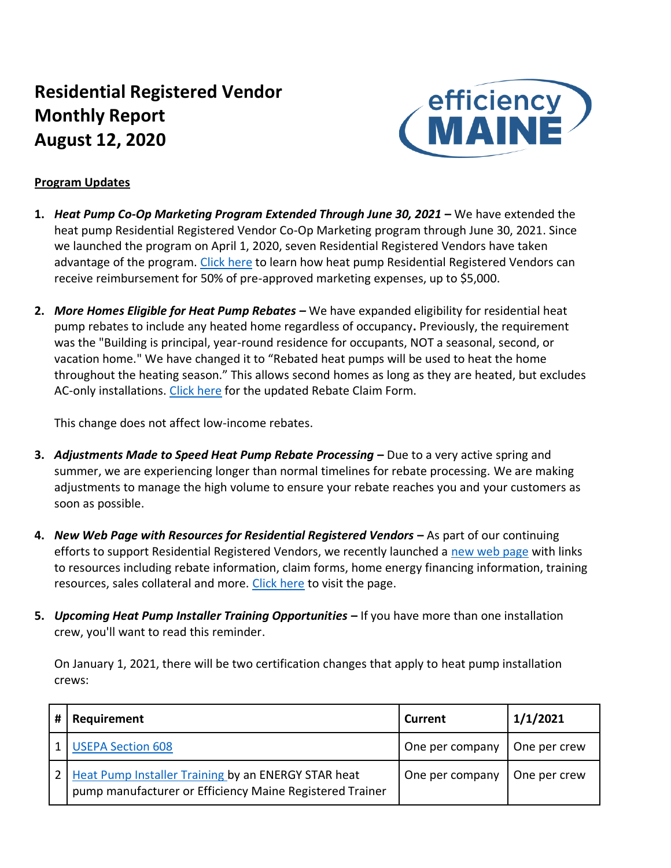# **Residential Registered Vendor Monthly Report August 12, 2020**



#### **Program Updates**

- **1.** *Heat Pump Co-Op Marketing Program Extended Through June 30, 2021* **–** We have extended the heat pump Residential Registered Vendor Co-Op Marketing program through June 30, 2021. Since we launched the program on April 1, 2020, seven Residential Registered Vendors have taken advantage of the program. [Click here](https://www.efficiencymaine.com/docs/Efficiency-Maine-Residential-Heat-Pump-Coop-Marketing-Program-Forms.pdf) to learn how heat pump Residential Registered Vendors can receive reimbursement for 50% of pre-approved marketing expenses, up to \$5,000.
- **2.** *More Homes Eligible for Heat Pump Rebates –* We have expanded eligibility for residential heat pump rebates to include any heated home regardless of occupancy**.** Previously, the requirement was the "Building is principal, year-round residence for occupants, NOT a seasonal, second, or vacation home." We have changed it to "Rebated heat pumps will be used to heat the home throughout the heating season." This allows second homes as long as they are heated, but excludes AC-only installations. [Click here](https://www.efficiencymaine.com/docs/Residential-Heat-Pump-Rebate-Claim-Form.pdf) for the updated Rebate Claim Form.

This change does not affect low-income rebates.

- **3.** *Adjustments Made to Speed Heat Pump Rebate Processing* **–** Due to a very active spring and summer, we are experiencing longer than normal timelines for rebate processing. We are making adjustments to manage the high volume to ensure your rebate reaches you and your customers as soon as possible.
- **4.** *New Web Page with Resources for Residential Registered Vendors* **–** As part of our continuing efforts to support Residential Registered Vendors, we recently launched a [new web page](https://www.efficiencymaine.com/residential-registered-vendors/) with links to resources including rebate information, claim forms, home energy financing information, training resources, sales collateral and more. [Click here](https://www.efficiencymaine.com/residential-registered-vendors/) to visit the page.
- **5.** *Upcoming Heat Pump Installer Training Opportunities* **–** If you have more than one installation crew, you'll want to read this reminder.

On January 1, 2021, there will be two certification changes that apply to heat pump installation crews:

| # | Requirement                                                                                                     | <b>Current</b>  | 1/1/2021     |
|---|-----------------------------------------------------------------------------------------------------------------|-----------------|--------------|
|   | <b>USEPA Section 608</b>                                                                                        | One per company | One per crew |
|   | Heat Pump Installer Training by an ENERGY STAR heat<br>pump manufacturer or Efficiency Maine Registered Trainer | One per company | One per crew |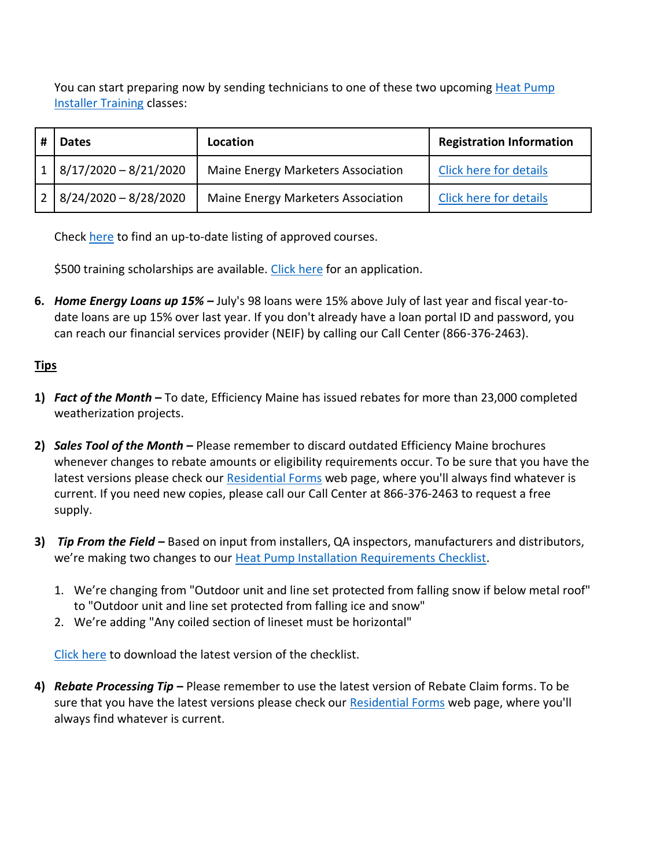You can start preparing now by sending technicians to one of these two upcoming [Heat Pump](https://www.efficiencymaine.com/docs/HP-Installer-Training-Required-Topics.pdf)  [Installer Training](https://www.efficiencymaine.com/docs/HP-Installer-Training-Required-Topics.pdf) classes:

| <b>Dates</b>            | Location                           | <b>Registration Information</b> |
|-------------------------|------------------------------------|---------------------------------|
| $8/17/2020 - 8/21/2020$ | Maine Energy Marketers Association | Click here for details          |
| $8/24/2020 - 8/28/2020$ | Maine Energy Marketers Association | Click here for details          |

Check [here](https://www.efficiencymaine.com/professional-training/) to find an up-to-date listing of approved courses.

\$500 training scholarships are available. [Click here](https://www.efficiencymaine.com/docs/RRV-Heat-Pump-Training-Scholarship-Application.pdf) for an application.

**6.** *Home Energy Loans up 15% –* July's 98 loans were 15% above July of last year and fiscal year-todate loans are up 15% over last year. If you don't already have a loan portal ID and password, you can reach our financial services provider (NEIF) by calling our Call Center (866-376-2463).

## **Tips**

- **1)** *Fact of the Month* **–** To date, Efficiency Maine has issued rebates for more than 23,000 completed weatherization projects.
- **2)** *Sales Tool of the Month* **–** Please remember to discard outdated Efficiency Maine brochures whenever changes to rebate amounts or eligibility requirements occur. To be sure that you have the latest versions please check ou[r Residential Forms](https://www.efficiencymaine.com/at-home/residential-forms/) web page, where you'll always find whatever is current. If you need new copies, please call our Call Center at 866-376-2463 to request a free supply.
- **3)** *Tip From the Field –* Based on input from installers, QA inspectors, manufacturers and distributors, we're making two changes to our [Heat Pump Installation Requirements Checklist.](https://www.efficiencymaine.com/docs/Residential-Heat-Pump-Installation-Checklist.pdf)
	- 1. We're changing from "Outdoor unit and line set protected from falling snow if below metal roof" to "Outdoor unit and line set protected from falling ice and snow"
	- 2. We're adding "Any coiled section of lineset must be horizontal"

[Click here](https://www.efficiencymaine.com/docs/Residential-Heat-Pump-Installation-Checklist.pdf) to download the latest version of the checklist.

**4)** *Rebate Processing Tip* **–** Please remember to use the latest version of Rebate Claim forms. To be sure that you have the latest versions please check our [Residential Forms](https://www.efficiencymaine.com/at-home/residential-forms/) web page, where you'll always find whatever is current.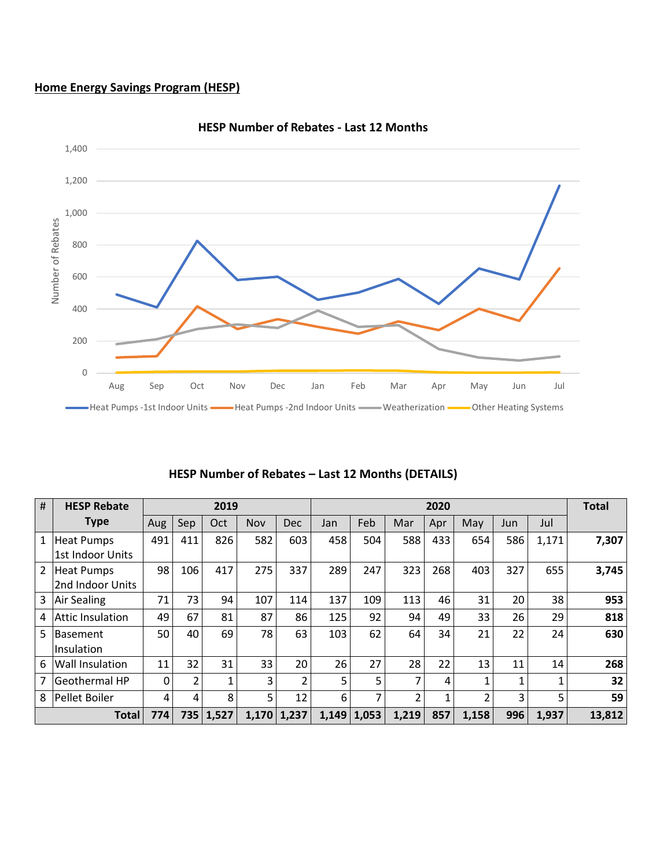## **Home Energy Savings Program (HESP)**



#### **HESP Number of Rebates - Last 12 Months**

| #              | <b>HESP Rebate</b>      | 2019         |                |           |     | 2020                     |       |       |                |     |                | <b>Total</b> |       |        |
|----------------|-------------------------|--------------|----------------|-----------|-----|--------------------------|-------|-------|----------------|-----|----------------|--------------|-------|--------|
|                | <b>Type</b>             | Aug          | Sep            | Oct       | Nov | <b>Dec</b>               | Jan   | Feb   | Mar            | Apr | May            | Jun          | Jul   |        |
| $\mathbf{1}$   | <b>Heat Pumps</b>       | 491          | 411            | 826       | 582 | 603                      | 458   | 504   | 588            | 433 | 654            | 586          | 1,171 | 7,307  |
|                | 1st Indoor Units        |              |                |           |     |                          |       |       |                |     |                |              |       |        |
| $\overline{2}$ | <b>Heat Pumps</b>       | 98           | 106            | 417       | 275 | 337                      | 289   | 247   | 323            | 268 | 403            | 327          | 655   | 3,745  |
|                | 2nd Indoor Units        |              |                |           |     |                          |       |       |                |     |                |              |       |        |
| 3 <sup>1</sup> | Air Sealing             | 71           | 73             | 94        | 107 | 114                      | 137   | 109   | 113            | 46  | 31             | 20           | 38    | 953    |
| 4              | <b>Attic Insulation</b> | 49           | 67             | 81        | 87  | 86                       | 125   | 92    | 94             | 49  | 33             | 26           | 29    | 818    |
| 5              | Basement                | 50           | 40             | 69        | 78  | 63                       | 103   | 62    | 64             | 34  | 21             | 22           | 24    | 630    |
|                | lInsulation             |              |                |           |     |                          |       |       |                |     |                |              |       |        |
| 6              | <b>Wall Insulation</b>  | 11           | 32             | 31        | 33  | 20                       | 26    | 27    | 28             | 22  | 13             | 11           | 14    | 268    |
| 7              | <b>Geothermal HP</b>    | $\mathbf{0}$ | $\overline{2}$ | 1         | 3   | $\overline{\mathcal{L}}$ | 5     | 5     | 7              | 4   |                | 1            | 1     | 32     |
| 8              | <b>Pellet Boiler</b>    | 4            | 4              | 8         | 5   | 12                       | 6     | 7     | $\overline{2}$ |     | $\mathfrak{p}$ | 3            | 5     | 59     |
|                | <b>Total</b>            | 774          |                | 735 1,527 |     | $1,170$ 1,237            | 1,149 | 1,053 | 1,219          | 857 | 1,158          | 996          | 1,937 | 13,812 |

## **HESP Number of Rebates – Last 12 Months (DETAILS)**